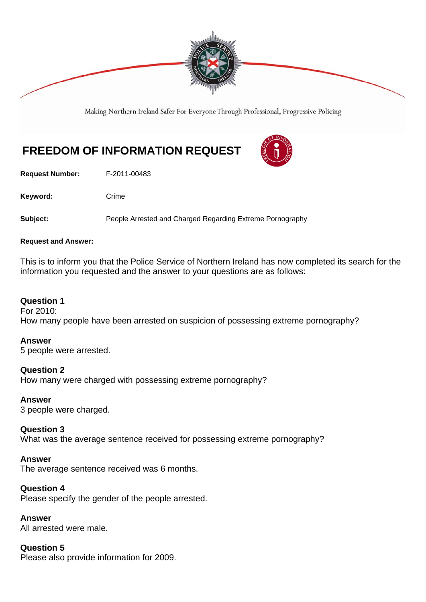

Making Northern Ireland Safer For Everyone Through Professional, Progressive Policing

# **FREEDOM OF INFORMATION REQUEST**

**Request Number:** F-2011-00483

Keyword: Crime

**Subject:** People Arrested and Charged Regarding Extreme Pornography

#### **Request and Answer:**

This is to inform you that the Police Service of Northern Ireland has now completed its search for the information you requested and the answer to your questions are as follows:

### **Question 1**

For 2010: How many people have been arrested on suspicion of possessing extreme pornography?

#### **Answer**

5 people were arrested.

## **Question 2**

How many were charged with possessing extreme pornography?

#### **Answer**

3 people were charged.

#### **Question 3**

What was the average sentence received for possessing extreme pornography?

#### **Answer**

The average sentence received was 6 months.

#### **Question 4**

Please specify the gender of the people arrested.

#### **Answer**

All arrested were male.

## **Question 5**

Please also provide information for 2009.